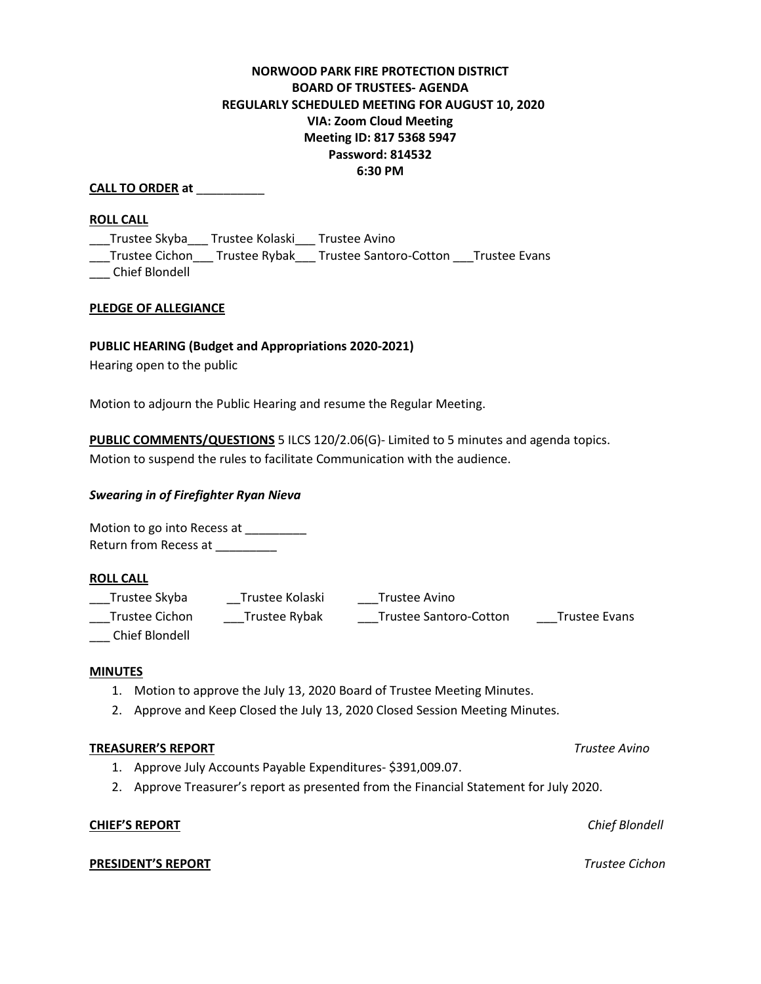# **NORWOOD PARK FIRE PROTECTION DISTRICT BOARD OF TRUSTEES- AGENDA REGULARLY SCHEDULED MEETING FOR AUGUST 10, 2020 VIA: Zoom Cloud Meeting Meeting ID: 817 5368 5947 Password: 814532 6:30 PM**

# **CALL TO ORDER at** \_\_\_\_\_\_\_\_\_\_

### **ROLL CALL**

\_\_\_Trustee Skyba\_\_\_ Trustee Kolaski\_\_\_ Trustee Avino \_\_\_Trustee Cichon\_\_\_ Trustee Rybak\_\_\_ Trustee Santoro-Cotton \_\_\_Trustee Evans

\_\_\_ Chief Blondell

## **PLEDGE OF ALLEGIANCE**

# **PUBLIC HEARING (Budget and Appropriations 2020-2021)**

Hearing open to the public

Motion to adjourn the Public Hearing and resume the Regular Meeting.

**PUBLIC COMMENTS/QUESTIONS** 5 ILCS 120/2.06(G)- Limited to 5 minutes and agenda topics. Motion to suspend the rules to facilitate Communication with the audience.

### *Swearing in of Firefighter Ryan Nieva*

Motion to go into Recess at \_\_\_\_\_\_\_\_\_ Return from Recess at \_\_\_\_\_\_\_\_

#### **ROLL CALL**

| Trustee Skyba  | Trustee Kolaski | Trustee Avino                 |                      |
|----------------|-----------------|-------------------------------|----------------------|
| Trustee Cichon | Trustee Rybak   | <b>Trustee Santoro-Cotton</b> | <b>Trustee Evans</b> |

\_\_\_ Chief Blondell

#### **MINUTES**

- 1. Motion to approve the July 13, 2020 Board of Trustee Meeting Minutes.
- 2. Approve and Keep Closed the July 13, 2020 Closed Session Meeting Minutes.

### **TREASURER'S REPORT** *Trustee Avino*

- 1. Approve July Accounts Payable Expenditures- \$391,009.07.
- 2. Approve Treasurer's report as presented from the Financial Statement for July 2020.

### **CHIEF'S REPORT** *Chief Blondell*

#### **PRESIDENT'S REPORT** *Trustee Cichon*